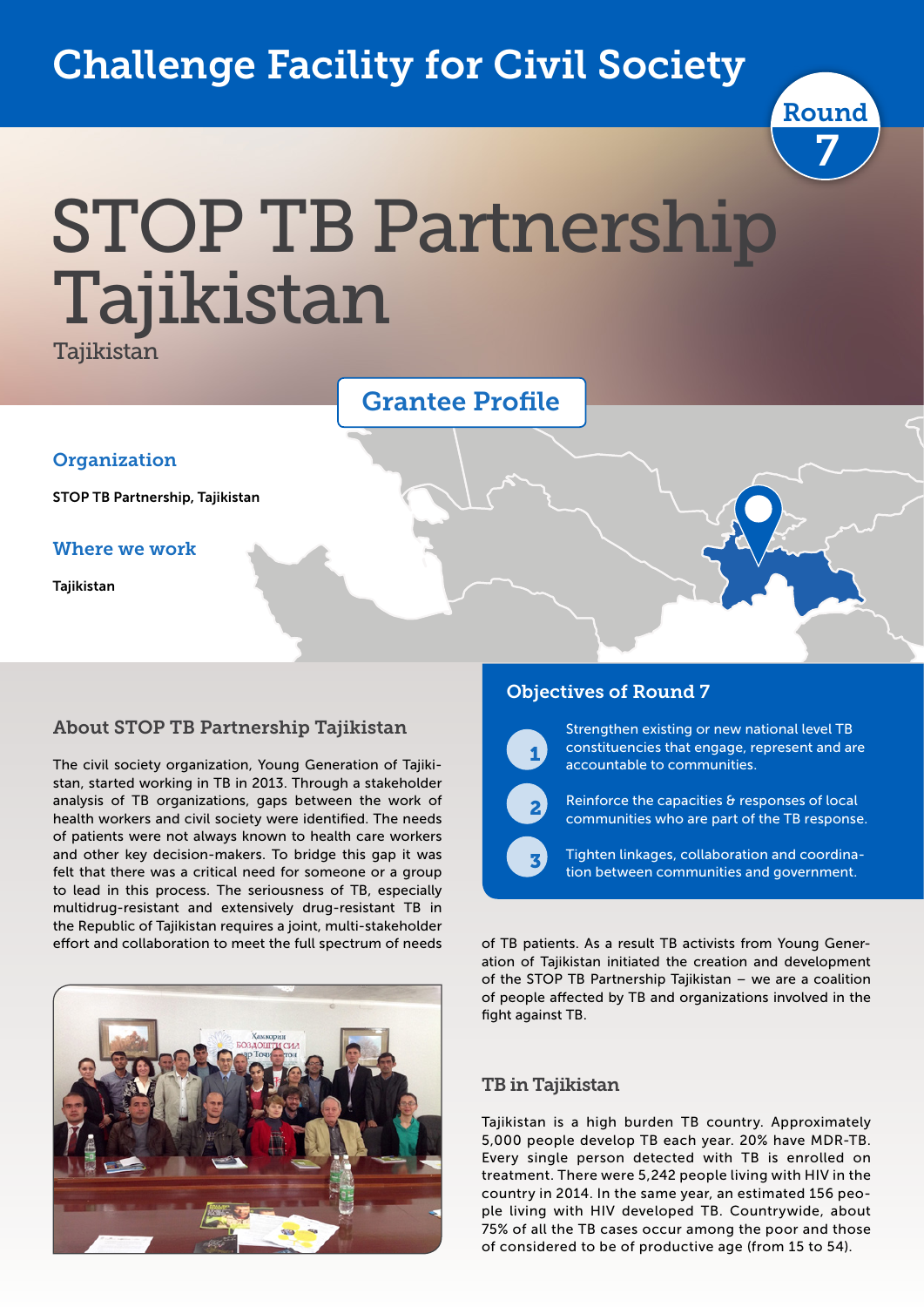## Challenge Facility for Civil Society



# STOP TB Partnership Tajikistan

Tajikistan

|                                 | <b>Grantee Profile</b> |  |
|---------------------------------|------------------------|--|
| Organization                    |                        |  |
| STOP TB Partnership, Tajikistan |                        |  |
| <b>Where we work</b>            |                        |  |
| Tajikistan                      |                        |  |
|                                 |                        |  |

#### About STOP TB Partnership Tajikistan

The civil society organization, Young Generation of Tajikistan, started working in TB in 2013. Through a stakeholder analysis of TB organizations, gaps between the work of health workers and civil society were identified. The needs of patients were not always known to health care workers and other key decision-makers. To bridge this gap it was felt that there was a critical need for someone or a group to lead in this process. The seriousness of TB, especially multidrug-resistant and extensively drug-resistant TB in the Republic of Tajikistan requires a joint, multi-stakeholder effort and collaboration to meet the full spectrum of needs



#### Objectives of Round 7



 $\overline{\phantom{a}}$ 

 $\overline{\phantom{a}}$ 

Strengthen existing or new national level TB constituencies that engage, represent and are accountable to communities.

Reinforce the capacities & responses of local communities who are part of the TB response.

Tighten linkages, collaboration and coordination between communities and government.

of TB patients. As a result TB activists from Young Generation of Tajikistan initiated the creation and development of the STOP TB Partnership Tajikistan – we are a coalition of people affected by TB and organizations involved in the fight against TB.

#### TB in Tajikistan

Tajikistan is a high burden TB country. Approximately 5,000 people develop TB each year. 20% have MDR-TB. Every single person detected with TB is enrolled on treatment. There were 5,242 people living with HIV in the country in 2014. In the same year, an estimated 156 people living with HIV developed TB. Countrywide, about 75% of all the TB cases occur among the poor and those of considered to be of productive age (from 15 to 54).